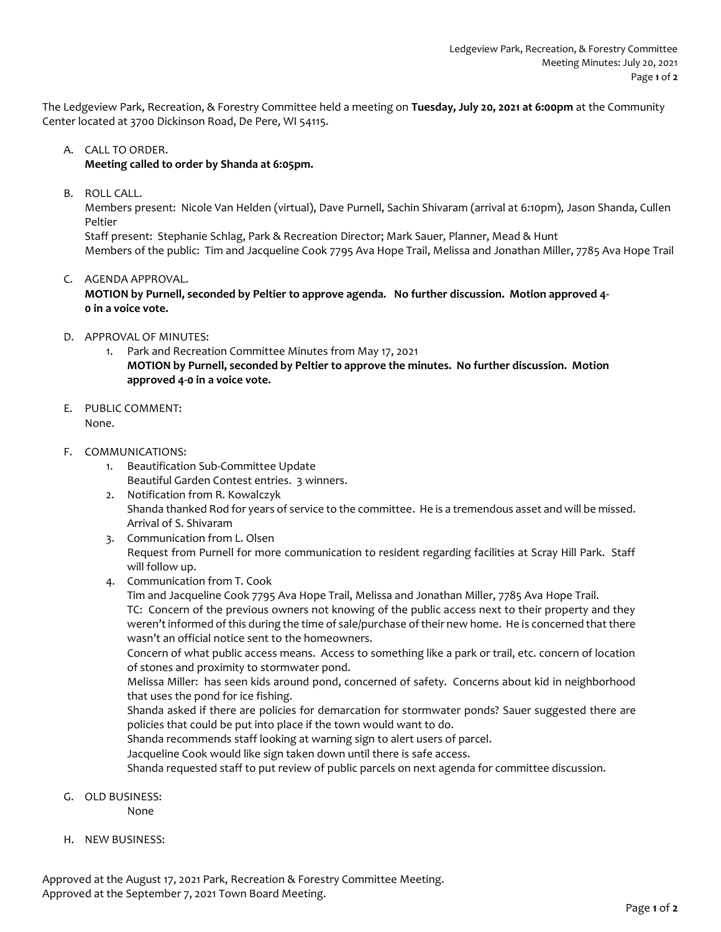The Ledgeview Park, Recreation, & Forestry Committee held a meeting on **Tuesday, July 20, 2021 at 6:00pm** at the Community Center located at 3700 Dickinson Road, De Pere, WI 54115.

## A. CALL TO ORDER.

**Meeting called to order by Shanda at 6:05pm.** 

B. ROLL CALL.

Members present: Nicole Van Helden (virtual), Dave Purnell, Sachin Shivaram (arrival at 6:10pm), Jason Shanda, Cullen Peltier

Staff present: Stephanie Schlag, Park & Recreation Director; Mark Sauer, Planner, Mead & Hunt Members of the public: Tim and Jacqueline Cook 7795 Ava Hope Trail, Melissa and Jonathan Miller, 7785 Ava Hope Trail

C. AGENDA APPROVAL.

**MOTION by Purnell, seconded by Peltier to approve agenda. No further discussion. Motion approved 4- 0 in a voice vote.** 

- D. APPROVAL OF MINUTES:
	- 1. Park and Recreation Committee Minutes from May 17, 2021 **MOTION by Purnell, seconded by Peltier to approve the minutes. No further discussion. Motion**
- E. PUBLIC COMMENT:

None.

- F. COMMUNICATIONS:
	- 1. Beautification Sub-Committee Update Beautiful Garden Contest entries. 3 winners.

**approved 4-0 in a voice vote.**

- 2. Notification from R. Kowalczyk Shanda thanked Rod for years of service to the committee. He is a tremendous asset and will be missed. Arrival of S. Shivaram
- 3. Communication from L. Olsen Request from Purnell for more communication to resident regarding facilities at Scray Hill Park. Staff will follow up.
- 4. Communication from T. Cook
	- Tim and Jacqueline Cook 7795 Ava Hope Trail, Melissa and Jonathan Miller, 7785 Ava Hope Trail. TC: Concern of the previous owners not knowing of the public access next to their property and they weren't informed of this during the time of sale/purchase of their new home. He is concerned that there

wasn't an official notice sent to the homeowners.

Concern of what public access means. Access to something like a park or trail, etc. concern of location of stones and proximity to stormwater pond.

Melissa Miller: has seen kids around pond, concerned of safety. Concerns about kid in neighborhood that uses the pond for ice fishing.

Shanda asked if there are policies for demarcation for stormwater ponds? Sauer suggested there are policies that could be put into place if the town would want to do.

Shanda recommends staff looking at warning sign to alert users of parcel.

Jacqueline Cook would like sign taken down until there is safe access.

Shanda requested staff to put review of public parcels on next agenda for committee discussion.

- G. OLD BUSINESS:
	- None
- H. NEW BUSINESS:

Approved at the August 17, 2021 Park, Recreation & Forestry Committee Meeting. Approved at the September 7, 2021 Town Board Meeting.